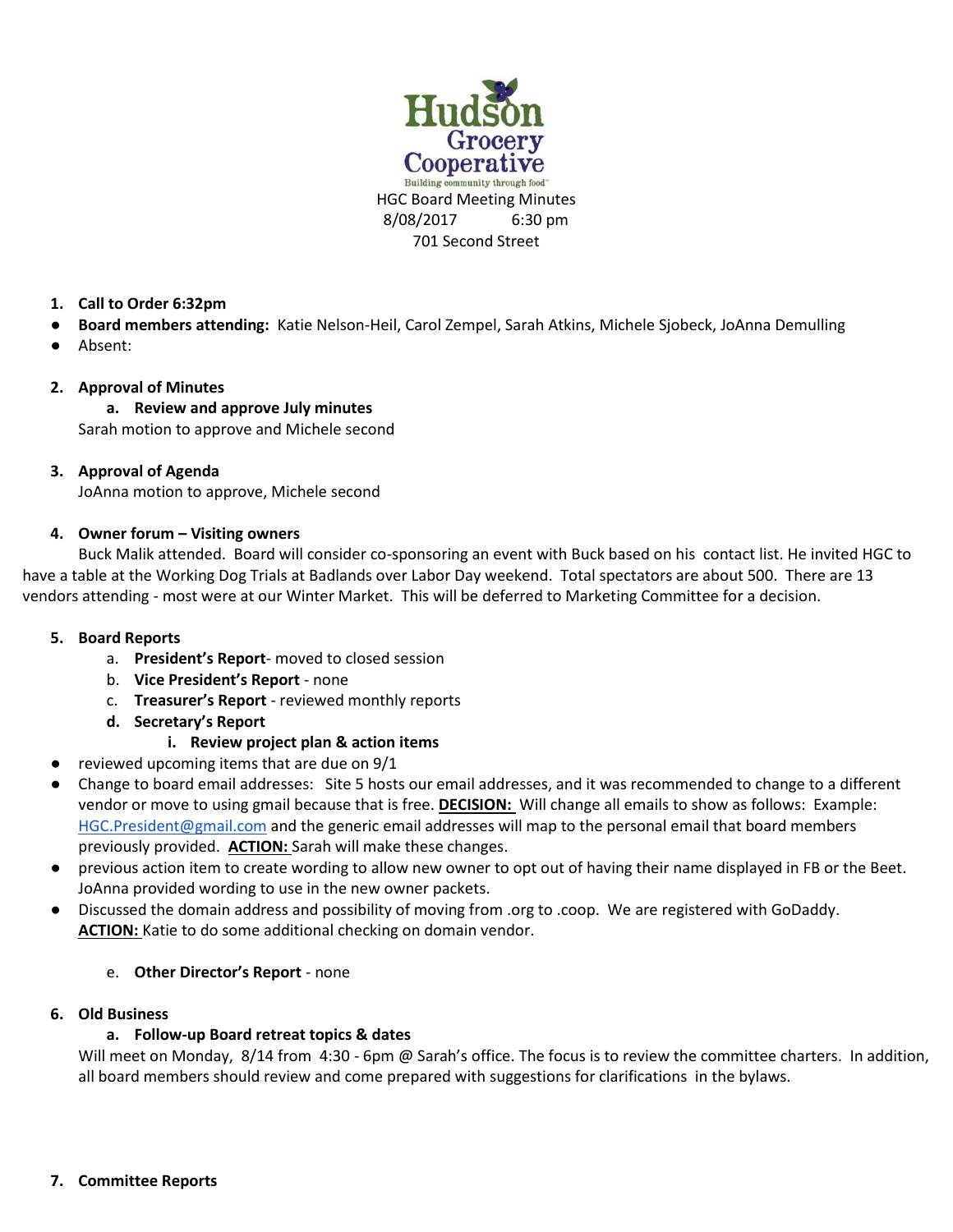

## **1. Call to Order 6:32pm**

- **Board members attending:** Katie Nelson-Heil, Carol Zempel, Sarah Atkins, Michele Sjobeck, JoAnna Demulling
- Absent:

## **2. Approval of Minutes**

## **a. Review and approve July minutes**

Sarah motion to approve and Michele second

## **3. Approval of Agenda**

JoAnna motion to approve, Michele second

## **4. Owner forum – Visiting owners**

Buck Malik attended. Board will consider co-sponsoring an event with Buck based on his contact list. He invited HGC to have a table at the Working Dog Trials at Badlands over Labor Day weekend. Total spectators are about 500. There are 13 vendors attending - most were at our Winter Market. This will be deferred to Marketing Committee for a decision.

#### **5. Board Reports**

- a. **President's Report** moved to closed session
- b. **Vice President's Report** none
- c. **Treasurer's Report** reviewed monthly reports
- **d. Secretary's Report**

# **i. Review project plan & action items**

- reviewed upcoming items that are due on 9/1
- Change to board email addresses: Site 5 hosts our email addresses, and it was recommended to change to a different vendor or move to using gmail because that is free. **DECISION:** Will change all emails to show as follows: Example: [HGC.President@gmail.com](mailto:HGC.President@gmail.com) and the generic email addresses will map to the personal email that board members previously provided. **ACTION:** Sarah will make these changes.
- previous action item to create wording to allow new owner to opt out of having their name displayed in FB or the Beet. JoAnna provided wording to use in the new owner packets.
- Discussed the domain address and possibility of moving from .org to .coop. We are registered with GoDaddy. **ACTION:** Katie to do some additional checking on domain vendor.

# e. **Other Director's Report** - none

#### **6. Old Business**

# **a. Follow-up Board retreat topics & dates**

Will meet on Monday, 8/14 from 4:30 - 6pm @ Sarah's office. The focus is to review the committee charters. In addition, all board members should review and come prepared with suggestions for clarifications in the bylaws.